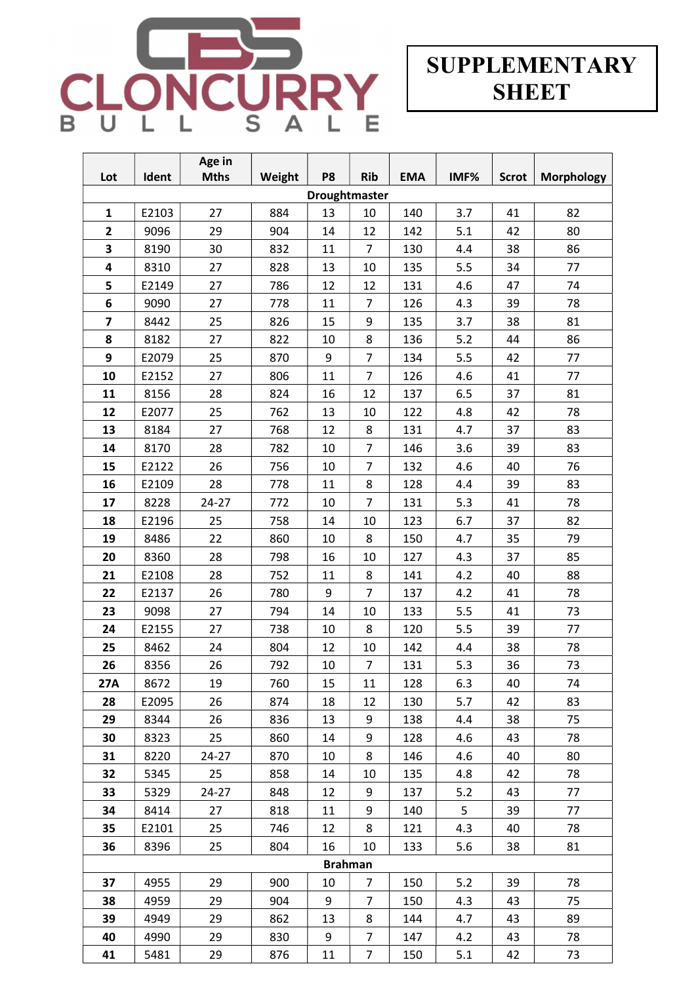

# **SUPPLEMENTARY SHEET**

|                         |       | Age in      |        |                |                |            |      |              |                   |
|-------------------------|-------|-------------|--------|----------------|----------------|------------|------|--------------|-------------------|
| Lot                     | Ident | <b>Mths</b> | Weight | P <sub>8</sub> | <b>Rib</b>     | <b>EMA</b> | IMF% | <b>Scrot</b> | <b>Morphology</b> |
| Droughtmaster           |       |             |        |                |                |            |      |              |                   |
| 1                       | E2103 | 27          | 884    | 13             | 10             | 140        | 3.7  | 41           | 82                |
| $\overline{\mathbf{2}}$ | 9096  | 29          | 904    | 14             | 12             | 142        | 5.1  | 42           | 80                |
| 3                       | 8190  | 30          | 832    | 11             | 7              | 130        | 4.4  | 38           | 86                |
| 4                       | 8310  | 27          | 828    | 13             | 10             | 135        | 5.5  | 34           | 77                |
| 5                       | E2149 | 27          | 786    | 12             | 12             | 131        | 4.6  | 47           | 74                |
| 6                       | 9090  | 27          | 778    | 11             | $\overline{7}$ | 126        | 4.3  | 39           | 78                |
| $\overline{\mathbf{z}}$ | 8442  | 25          | 826    | 15             | 9              | 135        | 3.7  | 38           | 81                |
| 8                       | 8182  | 27          | 822    | 10             | 8              | 136        | 5.2  | 44           | 86                |
| 9                       | E2079 | 25          | 870    | 9              | $\overline{7}$ | 134        | 5.5  | 42           | 77                |
| 10                      | E2152 | 27          | 806    | 11             | 7              | 126        | 4.6  | 41           | 77                |
| 11                      | 8156  | 28          | 824    | 16             | 12             | 137        | 6.5  | 37           | 81                |
| 12                      | E2077 | 25          | 762    | 13             | 10             | 122        | 4.8  | 42           | 78                |
| 13                      | 8184  | 27          | 768    | 12             | 8              | 131        | 4.7  | 37           | 83                |
| 14                      | 8170  | 28          | 782    | $10\,$         | $\overline{7}$ | 146        | 3.6  | 39           | 83                |
| 15                      | E2122 | 26          | 756    | 10             | 7              | 132        | 4.6  | 40           | 76                |
| 16                      | E2109 | 28          | 778    | 11             | 8              | 128        | 4.4  | 39           | 83                |
| 17                      | 8228  | 24-27       | 772    | 10             | $\overline{7}$ | 131        | 5.3  | 41           | 78                |
| 18                      | E2196 | 25          | 758    | 14             | 10             | 123        | 6.7  | 37           | 82                |
| 19                      | 8486  | 22          | 860    | 10             | 8              | 150        | 4.7  | 35           | 79                |
| 20                      | 8360  | 28          | 798    | 16             | 10             | 127        | 4.3  | 37           | 85                |
| 21                      | E2108 | 28          | 752    | 11             | 8              | 141        | 4.2  | 40           | 88                |
| 22                      | E2137 | 26          | 780    | 9              | $\overline{7}$ | 137        | 4.2  | 41           | 78                |
| 23                      | 9098  | 27          | 794    | 14             | 10             | 133        | 5.5  | 41           | 73                |
| 24                      | E2155 | 27          | 738    | 10             | 8              | 120        | 5.5  | 39           | 77                |
| 25                      | 8462  | 24          | 804    | 12             | 10             | 142        | 4.4  | 38           | 78                |
| 26                      | 8356  | 26          | 792    | 10             | $\overline{7}$ | 131        | 5.3  | 36           | 73                |
| 27A                     | 8672  | 19          | 760    | 15             | 11             | 128        | 6.3  | 40           | 74                |
| 28                      | E2095 | 26          | 874    | 18             | 12             | 130        | 5.7  | 42           | 83                |
| 29                      | 8344  | 26          | 836    | 13             | 9              | 138        | 4.4  | 38           | 75                |
| 30                      | 8323  | 25          | 860    | 14             | 9              | 128        | 4.6  | 43           | 78                |
| 31                      | 8220  | $24 - 27$   | 870    | 10             | 8              | 146        | 4.6  | 40           | 80                |
| 32                      | 5345  | 25          | 858    | 14             | 10             | 135        | 4.8  | 42           | 78                |
| 33                      | 5329  | $24 - 27$   | 848    | 12             | 9              | 137        | 5.2  | 43           | 77                |
| 34                      | 8414  | 27          | 818    | 11             | 9              | 140        | 5    | 39           | 77                |
| 35                      | E2101 | 25          | 746    | 12             | 8              | 121        | 4.3  | 40           | 78                |
| 36                      | 8396  | 25          | 804    | 16             | 10             | 133        | 5.6  | 38           | 81                |
|                         |       |             |        | <b>Brahman</b> |                |            |      |              |                   |
| 37                      | 4955  | 29          | 900    | 10             | 7              | 150        | 5.2  | 39           | 78                |
| 38                      | 4959  | 29          | 904    | 9              | 7              | 150        | 4.3  | 43           | 75                |
| 39                      | 4949  | 29          | 862    | 13             | 8              | 144        | 4.7  | 43           | 89                |
| 40                      | 4990  | 29          | 830    | 9              | $\overline{7}$ | 147        | 4.2  | 43           | 78                |
| 41                      | 5481  | 29          | 876    | 11             | 7              | 150        | 5.1  | 42           | 73                |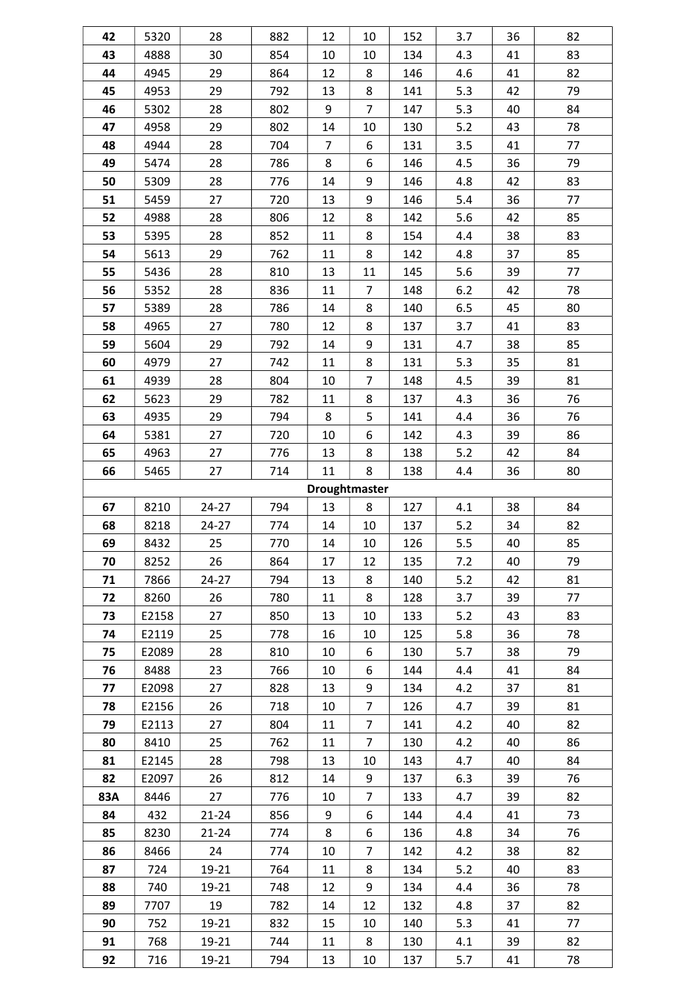| 42  | 5320  | 28        | 882 | 12             | 10             | 152 | 3.7 | 36 | 82 |
|-----|-------|-----------|-----|----------------|----------------|-----|-----|----|----|
| 43  | 4888  | 30        | 854 | 10             | 10             | 134 | 4.3 | 41 | 83 |
| 44  | 4945  | 29        | 864 | 12             | 8              | 146 | 4.6 | 41 | 82 |
| 45  | 4953  | 29        | 792 | 13             | 8              | 141 | 5.3 | 42 | 79 |
| 46  | 5302  | 28        | 802 | 9              | $\overline{7}$ | 147 | 5.3 | 40 | 84 |
| 47  | 4958  | 29        | 802 | 14             | 10             | 130 | 5.2 | 43 | 78 |
| 48  | 4944  | 28        | 704 | $\overline{7}$ | 6              | 131 | 3.5 | 41 | 77 |
| 49  | 5474  | 28        | 786 | 8              | 6              | 146 | 4.5 | 36 | 79 |
| 50  | 5309  | 28        | 776 | 14             | 9              | 146 | 4.8 | 42 | 83 |
| 51  | 5459  | 27        | 720 | 13             | 9              | 146 | 5.4 | 36 | 77 |
| 52  | 4988  | 28        | 806 | 12             | 8              | 142 | 5.6 | 42 | 85 |
| 53  | 5395  | 28        | 852 | 11             | 8              | 154 | 4.4 | 38 | 83 |
| 54  | 5613  | 29        | 762 | 11             | 8              | 142 | 4.8 | 37 | 85 |
| 55  | 5436  | 28        | 810 | 13             | 11             | 145 | 5.6 | 39 | 77 |
| 56  | 5352  | 28        | 836 | 11             | 7              | 148 | 6.2 | 42 | 78 |
| 57  | 5389  | 28        | 786 | 14             | 8              | 140 | 6.5 | 45 | 80 |
| 58  | 4965  | 27        | 780 | 12             | 8              | 137 | 3.7 | 41 | 83 |
| 59  | 5604  | 29        | 792 | 14             | 9              | 131 | 4.7 | 38 | 85 |
| 60  | 4979  | 27        | 742 | 11             | 8              | 131 | 5.3 | 35 | 81 |
| 61  | 4939  | 28        | 804 | 10             | $\overline{7}$ | 148 | 4.5 | 39 | 81 |
| 62  | 5623  | 29        | 782 | 11             | 8              | 137 | 4.3 | 36 | 76 |
| 63  | 4935  | 29        | 794 | 8              | 5              | 141 | 4.4 | 36 | 76 |
| 64  | 5381  | 27        | 720 | 10             | 6              | 142 | 4.3 | 39 | 86 |
| 65  | 4963  | 27        | 776 | 13             | 8              | 138 | 5.2 | 42 | 84 |
| 66  | 5465  | 27        | 714 | 11             | 8              | 138 | 4.4 | 36 | 80 |
|     |       |           |     | Droughtmaster  |                |     |     |    |    |
| 67  | 8210  | 24-27     | 794 | 13             | 8              | 127 | 4.1 | 38 | 84 |
| 68  | 8218  | 24-27     | 774 | 14             | 10             | 137 | 5.2 | 34 | 82 |
| 69  | 8432  | 25        | 770 | 14             | 10             | 126 | 5.5 | 40 | 85 |
| 70  | 8252  | 26        | 864 | 17             | 12             | 135 | 7.2 | 40 | 79 |
| 71  | 7866  | $24 - 27$ | 794 | 13             | 8              | 140 | 5.2 | 42 | 81 |
| 72  | 8260  | 26        | 780 | 11             | 8              | 128 | 3.7 | 39 | 77 |
| 73  | E2158 | 27        | 850 | 13             | 10             | 133 | 5.2 | 43 | 83 |
| 74  | E2119 | 25        | 778 | 16             | 10             | 125 | 5.8 | 36 | 78 |
| 75  | E2089 | 28        | 810 | 10             | 6              | 130 | 5.7 | 38 | 79 |
| 76  | 8488  | 23        | 766 | 10             | 6              | 144 | 4.4 | 41 | 84 |
| 77  | E2098 | 27        | 828 |                |                |     |     |    | 81 |
| 78  |       |           |     | 13             | 9              | 134 | 4.2 | 37 |    |
|     | E2156 | 26        | 718 | 10             | $\overline{7}$ | 126 | 4.7 | 39 | 81 |
| 79  | E2113 | 27        | 804 | 11             | $\overline{7}$ | 141 | 4.2 | 40 | 82 |
| 80  | 8410  | 25        | 762 | 11             | $\overline{7}$ | 130 | 4.2 | 40 | 86 |
| 81  | E2145 | 28        | 798 | 13             | 10             | 143 | 4.7 | 40 | 84 |
| 82  | E2097 | 26        | 812 | 14             | 9              | 137 | 6.3 | 39 | 76 |
| 83A | 8446  | 27        | 776 | 10             | $\overline{7}$ | 133 | 4.7 | 39 | 82 |
| 84  | 432   | $21 - 24$ | 856 | 9              | 6              | 144 | 4.4 | 41 | 73 |
| 85  | 8230  | $21 - 24$ | 774 | 8              | 6              | 136 | 4.8 | 34 | 76 |
| 86  | 8466  | 24        | 774 | 10             | 7              | 142 | 4.2 | 38 | 82 |
| 87  | 724   | 19-21     | 764 | 11             | 8              | 134 | 5.2 | 40 | 83 |
| 88  | 740   | 19-21     | 748 | 12             | 9              | 134 | 4.4 | 36 | 78 |
| 89  | 7707  | 19        | 782 | 14             | 12             | 132 | 4.8 | 37 | 82 |
| 90  | 752   | 19-21     | 832 | 15             | 10             | 140 | 5.3 | 41 | 77 |
| 91  | 768   | 19-21     | 744 | 11             | 8              | 130 | 4.1 | 39 | 82 |